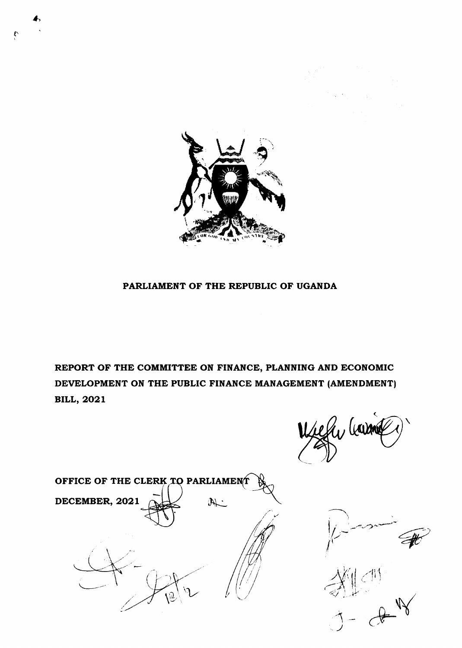

## PARLIAMENT OF THE REPUBLIC OF UGANDA

REPORT OF THE COMMITTEE ON FINANCE, PLANNING AND ECONOMIC DEVELOPMENT ON THE PUBLIC FINANCE MANAGEMENT (AMENDMENT) **BILL, 2021** 

E levan





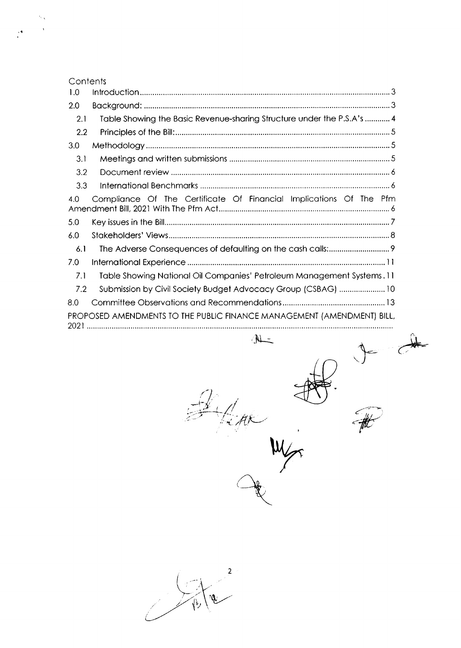| Contents |                                                                        |
|----------|------------------------------------------------------------------------|
| 1.0      |                                                                        |
| 2.0      |                                                                        |
| 2.1      | Table Showing the Basic Revenue-sharing Structure under the P.S.A's  4 |
| 2.2      |                                                                        |
| 3.0      |                                                                        |
| 3.1      |                                                                        |
| 3.2      |                                                                        |
| 3.3      |                                                                        |
| 4.0      | Compliance Of The Certificate Of Financial Implications Of The Pfm     |
| 5.0      |                                                                        |
| 6.0      |                                                                        |
| 6.1      |                                                                        |
| 7.0      |                                                                        |
| 7.1      | Table Showing National Oil Companies' Petroleum Management Systems. 11 |
| 7.2      | Submission by Civil Society Budget Advocacy Group (CSBAG)  10          |
| 8.0      |                                                                        |
|          | PROPOSED AMENDMENTS TO THE PUBLIC FINANCE MANAGEMENT (AMENDMENT) BILL, |
|          |                                                                        |
|          | $\mathbb{A}$                                                           |
|          |                                                                        |
|          | -75<br>jn                                                              |
|          |                                                                        |

 $\ddot{\phantom{1}}$ 

 $\begin{picture}(120,10) \put(0,0){\vector(1,0){10}} \put(15,0){\vector(1,0){10}} \put(15,0){\vector(1,0){10}} \put(15,0){\vector(1,0){10}} \put(15,0){\vector(1,0){10}} \put(15,0){\vector(1,0){10}} \put(15,0){\vector(1,0){10}} \put(15,0){\vector(1,0){10}} \put(15,0){\vector(1,0){10}} \put(15,0){\vector(1,0){10}} \put(15,0){\vector(1,0){10}} \put(15,0){\vector($ 

 $\frac{1}{\sqrt{\frac{1}{10}}}$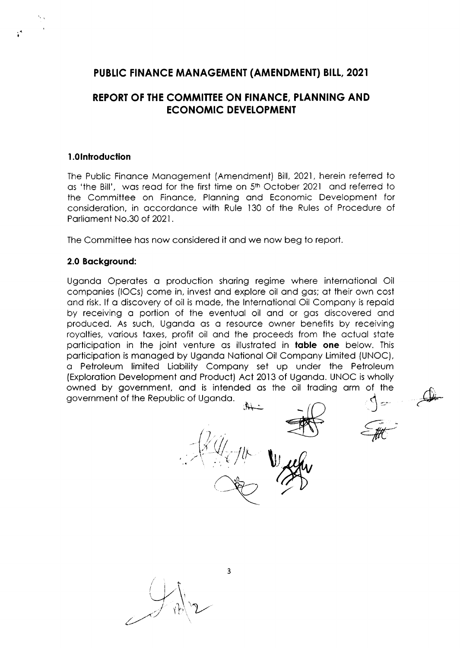# PUBLIC FINANCE MANAGEMENT (AMENDMENT) BILL, 2021

# REPORT OF THE COMMITTEE ON FINANCE, PLANNING AND **ECONOMIC DEVELOPMENT**

#### 1.0Introduction

The Public Finance Management (Amendment) Bill, 2021, herein referred to as 'the Bill', was read for the first time on 5th October 2021 and referred to the Committee on Finance, Planning and Economic Development for consideration, in accordance with Rule 130 of the Rules of Procedure of Parliament No.30 of 2021.

The Committee has now considered it and we now beg to report.

## 2.0 Background:

Uganda Operates a production sharing regime where international Oil companies (IOCs) come in, invest and explore oil and gas; at their own cost and risk. If a discovery of oil is made, the International Oil Company is repaid by receiving a portion of the eventual oil and or gas discovered and produced. As such, Uganda as a resource owner benefits by receiving royalties, various taxes, profit oil and the proceeds from the actual state participation in the joint venture as illustrated in **table one** below. This participation is managed by Uganda National Oil Company Limited (UNOC), a Petroleum limited Liability Company set up under the Petroleum (Exploration Development and Product) Act 2013 of Uganda. UNOC is wholly owned by government, and is intended as the oil trading arm of the government of the Republic of Uganda.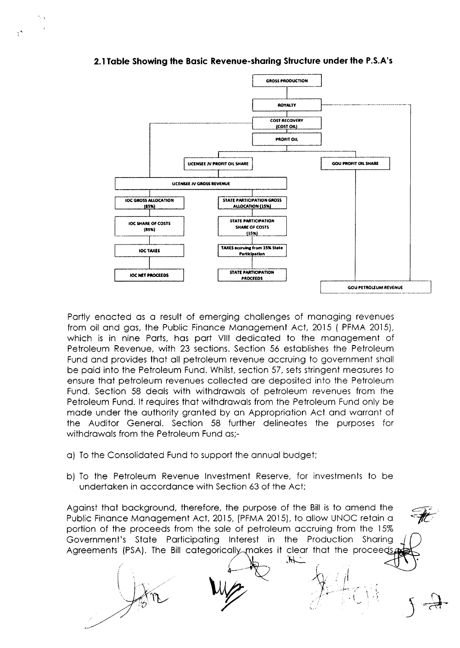

#### 2.1 Table Showing the Basic Revenue-sharing Structure under the P.S.A's

Partly enacted as a result of emerging challenges of managing revenues from oil and gas, the Public Finance Management Act, 2015 (PFMA 2015), which is in nine Parts, has part VIII dedicated to the management of Petroleum Revenue, with 23 sections. Section 56 establishes the Petroleum Fund and provides that all petroleum revenue accruing to government shall be paid into the Petroleum Fund. Whilst, section 57, sets stringent measures to ensure that petroleum revenues collected are deposited into the Petroleum Fund. Section 58 deals with withdrawals of petroleum revenues from the Petroleum Fund. It requires that withdrawals from the Petroleum Fund only be made under the authority granted by an Appropriation Act and warrant of the Auditor General. Section 58 further delineates the purposes for withdrawals from the Petroleum Fund as:-

- a) To the Consolidated Fund to support the annual budget;
- b) To the Petroleum Revenue Investment Reserve, for investments to be undertaken in accordance with Section 63 of the Act:

Against that background, therefore, the purpose of the Bill is to amend the Public Finance Management Act, 2015, (PFMA 2015), to allow UNOC retain a portion of the proceeds from the sale of petroleum accruing from the 15% Government's State Participating Interest in the Production Sharing Agreements (PSA). The Bill categorically makes it clear that the proceeds

 $\mathcal{H}$ .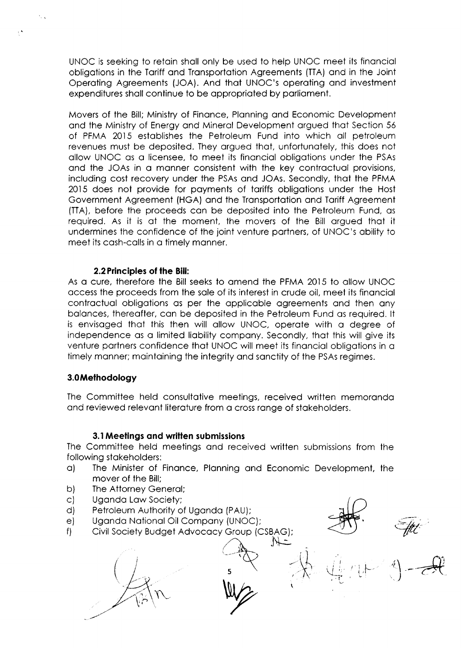UNOC is seeking to retoin sholl only be used to help UNOC meet its finonciol obligotions in the Toriff ond Tronsportotion Agreements (TTA) ond in the Joint Operoting Agreements (JOA). And thot UNOC's operoting ond investment expenditures shall continue to be appropriated by parliament.

Movers of the Bill; Ministry of Finonce, Plonning ond Economic Development ond the Ministry of Energy ond Minerol Development orgued thot Section 55 of PFMA 2015 estoblishes the Petroleum Fund into which oll petroleum revenues must be deposited. They orgued thot, unfortunotely, this does not ollow UNOC qs o licensee, to meet its finonciol obligotions under the PSAs and the JOAs in a manner consistent with the key contractual provisions, including cost recovery under the PSAs ond JOAs. Secondly, thot the PFMA 2Ol5 does not provide for poyments of toriffs obligotions under the Host Government Agreement (HGA) ond the Tronsportotion ond Toriff Agreement (TTA), before the proceeds con be deposited into the Petroleum Fund, os required. As it is ot the moment, the movers of the Bill orgued thot it undermines the confidence of the joint venture portners, of UNOC's obility to meet its cosh-colls in o timely monner.

## 2.2 Principles of the Bill:

As q cure, therefore the Bill seeks to qmend the PFMA 2015 to ollow UNOC occess the proceeds from the sole of its interest in crude oil, meet its finonciol contractual obligations as per the applicable agreements and then any balances, thereafter, can be deposited in the Petroleum Fund as required. It is envisoged thot this then will ollow UNOC, operote with o degree of independence as a limited liability company. Secondly, that this will give its venture portners confidence thot UNOC will meet its finonciol obligotions in o timely manner; maintaining the integrity and sanctity of the PSAs regimes.

## 3.0Methodology

 $\epsilon$   $\gamma$ 

The Committee held consultative meetings, received written memoranda and reviewed relevant literature from a cross range of stakeholders.

## 3.1 Meelings ond wrilten submissions

The Committee held meetings ond received written submissions from the following stakeholders:

- o) The Minister of Finonce, Plonning ond Economic Development, the mover of the Bill;
- The Attorney Generol; b)
- Ugondo Low Society; c
- Petroleum Authority of Uganda (PAU); d
- Uganda National Oil Company (UNOC); e
- Civil Society Budget Advocacy Group (CSBAG); f)  $V$ - $\pm$

...--.- BAG);  $\overline{\mathscr{H}}$   $\overline{\mathscr{H}}$  $\begin{pmatrix} 1 & 1 \\ 1 & 1 \end{pmatrix}$ 

 $\widehat{\mathcal{E}}$ .)

;j

il  $\sqrt{\,}$ -t

 $-\sqrt{1}$ ,  $\rightarrow$ 

 $\ddot{\phantom{0}}$ 

 $\lambda$ 

 $\mathsf{5}$   $\longrightarrow$   $\mathbb{R}$   $\longrightarrow$   $\mathbb{R}$   $\longrightarrow$   $\mathbb{R}$   $\longrightarrow$   $\mathbb{R}$   $\longrightarrow$   $\mathbb{R}$   $\longrightarrow$   $\mathbb{R}$   $\longrightarrow$   $\mathbb{R}$   $\longrightarrow$   $\mathbb{R}$   $\longrightarrow$   $\mathbb{R}$   $\longrightarrow$   $\mathbb{R}$   $\longrightarrow$   $\mathbb{R}$   $\longrightarrow$   $\mathbb{R}$   $\longrightarrow$   $\mathbb{R}$   $\longrightarrow$   $\mathbb{R}$   $\longrightarrow$   $\mathbb{R}$   $\$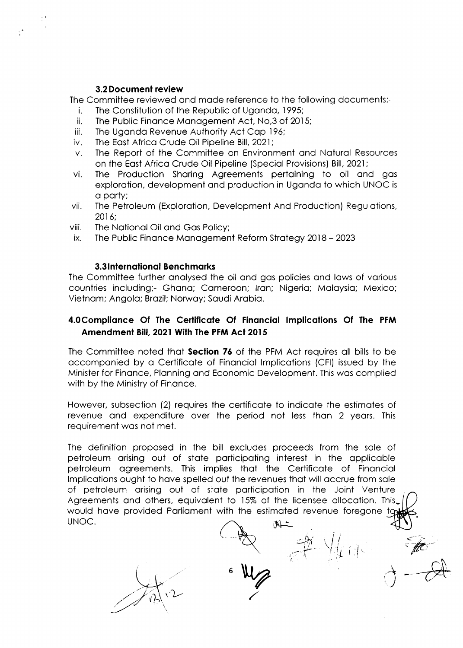#### 3.2Documenl review

The Committee reviewed ond mode reference to the following documents;-

- i. The Constitution of the Republic of Ugondo, 1995;
- ii. The Public Finonce Monogement Act, No,3 of 2O15;
- iii. The Uganda Revenue Authority Act Cap 196:
- iv. The East Africa Crude Oil Pipeline Bill, 2021;
- v. The Report of the Committee on Environment ond Noturol Resources on the Eost Africo Crude Oil Pipeline (Speciol Provisions) Bill, 2021;
- vi. The Production Shoring Agreements pertoining to oil ond gos exploration, development and production in Uganda to which UNOC is o porty;
- vii. The Petroleum (Exploration, Development And Production) Regulations, 2016;
- viii. The National Oil and Gas Policy;
- ix. The Public Finonce Monogement Reform Strotegy 2Ol8 <sup>2023</sup>

#### 3.3 International Benchmarks

The Committee further analysed the oil and gas policies and laws of various countries including;- Ghana; Cameroon; Iran; Nigeria; Malaysia; Mexico; Vietnom; Angolo; Brozil; Norwqy; Soudi Arobio.

## 4.0 Compliance Of The Certificate Of Financial Implications Of The PFM Amendment Bill, 2021 With The PFM Act 2015

The Committee noted that **Section 76** of the PFM Act requires all bills to be occomponied by o Certificote of Finonciol lmplicotions (CFl) issued by the Minister for Finonce, Plonning ond Economic Development. This wos complied with by the Ministry of Finance.

However, subsection (2) requires the certificote to indicote the estimotes of revenue and expenditure over the period not less than 2 years. This requirement wos not met.

The definition proposed in the bill excludes proceeds from the sole of petroleum orising out of stote porticipoting interest in the opplicoble petroleum ogreements. This implies thot the Certificote of Finonciol lmplicotions ought to hove spelled out the revenues thot will occrue from sole of petroleum orising out of stote porticipotion in the Joint Venture Agreements and others, equivalent to 15% of the licensee allocation. This, would have provided Parliament with the estimated revenue foregone to UNOC.  $M-$ 

 $\frac{1}{2}$  or  $\frac{1}{2}$ 

6

 $\bigvee$   $\bigcup$ 

 $-\frac{1}{2}$ 

I

 $\forall$ 47 i $\exists$  i

 $\overrightarrow{ }$ 

 $\textcolor{black}{\epsilon}\rightarrow$ 'y'ft'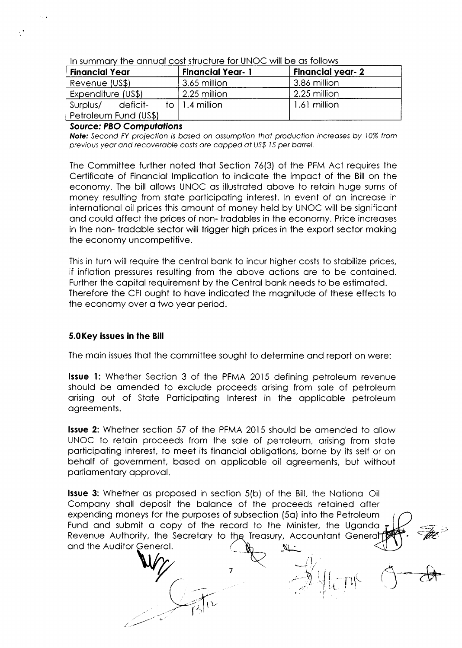**Financial year-2 Financial Year Financial Year-1** Revenue (US\$) 3.65 million 3.86 million Expenditure (US\$) 2.25 million 2.25 million to  $\vert$  1.4 million 1.61 million Surplus/ deficit-Petroleum Fund (US\$)

In summary the annual cost structure for UNOC will be as follows

## **Source: PBO Computations**

 $\ddot{\phantom{1}}$ 

Note: Second FY projection is based on assumption that production increases by 10% from previous year and recoverable costs are capped at US\$ 15 per barrel.

The Committee further noted that Section 76(3) of the PFM Act requires the Certificate of Financial Implication to indicate the impact of the Bill on the economy. The bill allows UNOC as illustrated above to retain huge sums of money resulting from state participating interest. In event of an increase in international oil prices this amount of money held by UNOC will be significant and could affect the prices of non-tradables in the economy. Price increases in the non-tradable sector will trigger high prices in the export sector making the economy uncompetitive.

This in turn will require the central bank to incur higher costs to stabilize prices, if inflation pressures resulting from the above actions are to be contained. Further the capital requirement by the Central bank needs to be estimated. Therefore the CFI ought to have indicated the magnitude of these effects to the economy over a two year period.

## 5.0 Key issues in the Bill

The main issues that the committee sought to determine and report on were:

**Issue 1:** Whether Section 3 of the PFMA 2015 defining petroleum revenue should be amended to exclude proceeds arising from sale of petroleum arising out of State Participating Interest in the applicable petroleum agreements.

**Issue 2:** Whether section 57 of the PFMA 2015 should be amended to allow UNOC to retain proceeds from the sale of petroleum, arising from state participating interest, to meet its financial obligations, borne by its self or on behalf of government, based on applicable oil agreements, but without parliamentary approval.

**Issue 3:** Whether as proposed in section 5(b) of the Bill, the National Oil Company shall deposit the balance of the proceeds retained after expending moneys for the purposes of subsection (5a) into the Petroleum Fund and submit a copy of the record to the Minister, the Uganda Revenue Authority, the Secretary to the Treasury, Accountant General and the Auditor General.  $\pi$ 

 $\overline{7}$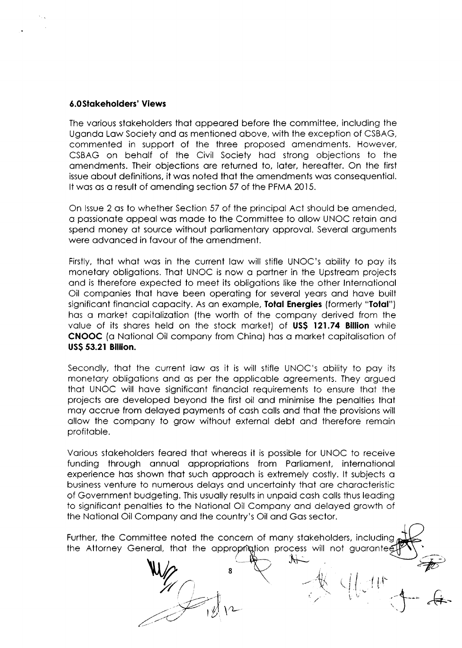## **6.0Stakeholders' Views**

The various stakeholders that appeared before the committee, including the Uganda Law Society and as mentioned above, with the exception of CSBAG, commented in support of the three proposed amendments. However, CSBAG on behalf of the Civil Society had strong objections to the amendments. Their objections are returned to, later, hereafter. On the first issue about definitions, it was noted that the amendments was consequential. It was as a result of amending section 57 of the PFMA 2015.

On Issue 2 as to whether Section 57 of the principal Act should be amended, a passionate appeal was made to the Committee to allow UNOC retain and spend money at source without parliamentary approval. Several arguments were advanced in favour of the amendment.

Firstly, that what was in the current law will stifle UNOC's ability to pay its monetary obligations. That UNOC is now a partner in the Upstream projects and is therefore expected to meet its obligations like the other International Oil companies that have been operating for several years and have built significant financial capacity. As an example, **Total Energies** (formerly "**Total**") has a market capitalization (the worth of the company derived from the value of its shares held on the stock market) of US\$ 121.74 Billion while **CNOOC** (a National Oil company from China) has a market capitalisation of **US\$ 53.21 Billion.** 

Secondly, that the current law as it is will stifle UNOC's ability to pay its monetary obligations and as per the applicable agreements. They argued that UNOC will have significant financial requirements to ensure that the projects are developed beyond the first oil and minimise the penalties that may accrue from delayed payments of cash calls and that the provisions will allow the company to grow without external debt and therefore remain profitable.

Various stakeholders feared that whereas it is possible for UNOC to receive funding through annual appropriations from Parliament, international experience has shown that such approach is extremely costly. It subjects a business venture to numerous delays and uncertainty that are characteristic of Government budgeting. This usually results in unpaid cash calls thus leading to significant penalties to the National Oil Company and delayed growth of the National Oil Company and the country's Oil and Gas sector.

Further, the Committee noted the concern of many stakeholders, including the Attorney General, that the approprigition process will not guarantee

 $\rightarrow$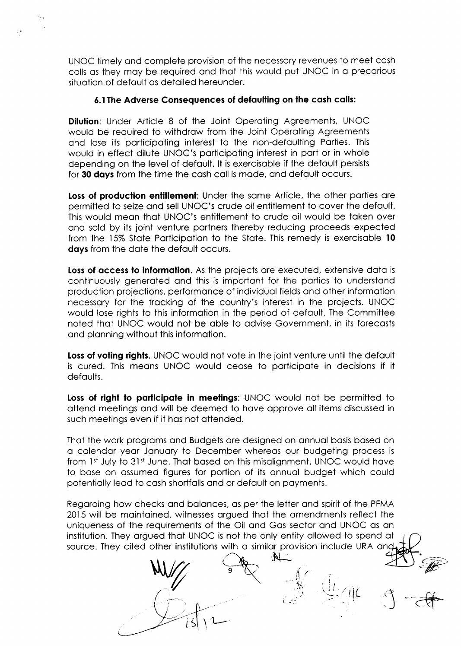UNOC timely ond complete provision of the necessory revenues to meet cosh colls os they moy be required ond thot this would put UNOC in o precorious situotion of defoult os detoiled hereunder.

## 6.1The Adverse Consequences of defoulting on lhe cosh colls:

**Dilution:** Under Article 8 of the Joint Operating Agreements, UNOC would be required to withdraw from the Joint Operating Agreements ond lose its porticipoting interest to the non-defoulting Porties. This would in effect dilute UNOC's porticipoting interest in port or in whole depending on the level of defoult. lt is exercisoble if the defoult persists for 30 days from the time the cash call is made, and default occurs.

Loss of production entitlement: Under the same Article, the other parties are permitted to seize ond sell UNOC's crude oil entitlement to cover the defoult. This would meon thot UNOC's entitlement to crude oil would be token over ond sold by its joint venture portners thereby reducing proceeds expected from the 15% State Participation to the State. This remedy is exercisable 10 days from the date the default occurs.

Loss of access to information. As the projects are executed, extensive data is continuously generated and this is important for the parties to understand production projections, performonce of individuol fields ond other informotion necessory for the trocking of the country's interest in the projects. UNOC would lose rights to this informotion in the period of defoult. The Committee noted thot UNOC would not be oble to odvise Government, in its forecosts ond plonning without this informotion.

Loss of voting rights. UNOC would not vote in the joint venture until the default is cured. This meons UNOC would ceose to porticipote in decisions if it defaults.

Loss of right to participate in meetings: UNOC would not be permitted to ottend meetings ond will be deemed to hove opprove oll items discussed in such meetings even if it has not attended.

Thot the work progroms ond Budgets ore designed on onnuol bosis bosed on o colendor yeor Jonuory to December whereos our budgeting process is from 1st July to 31st June. That based on this misalignment, UNOC would have to bose on ossumed figures for portion of its onnuol budget which could potentiolly leod to cosh shortfolls ond or defoult on poyments.

Regording how checks ond bolonces, os per the letter ond spirit of the PFMA 2015 will be mointoined, witnesses orgued thot the omendments reflect the uniqueness of the requirements of the Oil ond Gos sector ond UNOC os on institution. They orgued thot UNOC is not the only entity ollowed to spend ot source. They cited other institutions with a similar provision include URA and

9

 $\sqrt{2}$ 

 $\mathbb{N}_-$  .

il  $-\frac{1}{N}$ 

i I

 $\bigoplus_{i=1}^n \mathcal{O}(t)$ 

 $\binom{1}{2}$ 

.<br>- HE

 $-4$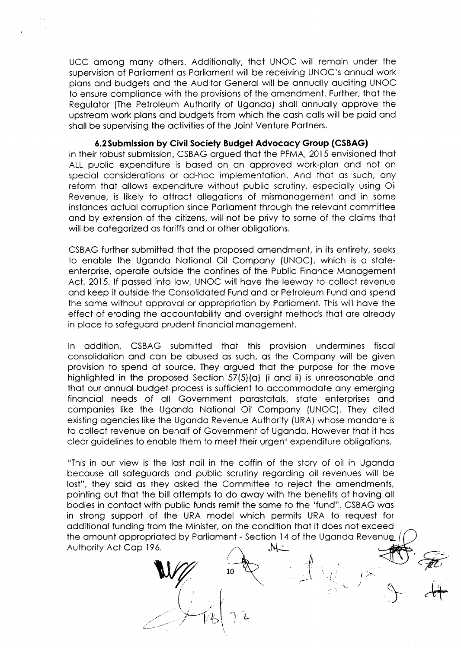UCC omong mony others. Additionolly, thot UNOC will remoin under the supervision of Parliament as Parliament will be receiving UNOC's annual work plons ond budgets ond the Auditor Generol will be onnuolly ouditing UNOC to ensure complionce with the provisions of the omendment. Further, thot the Regulator (The Petroleum Authority of Uganda) shall annually approve the upstream work plans and budgets from which the cash calls will be paid and sholl be supervising the octivities of the Joint Venture Portners.

6.2 Submission by Civil Society Budget Advocacy Group (CSBAG)

ln their robust submission, CSBAG orgued thot the PFMA, 2015 envisioned thot ALL public expenditure is based on an approved work-plan and not on special considerations or ad-hoc implementation. And that as such, any reform thot ollows expenditure without public scrutiny, especiolly using Oil Revenue, is likely to ottroct ollegotions of mismonogement ond in some instances actual corruption since Parliament through the relevant committee ond by extension of the citizens, will not be privy to some of the cloims thot will be categorized as tariffs and or other obligations.

CSBAG further submitted thot the proposed omendment, in its entirety, seeks to enable the Uganda National Oil Company (UNOC), which is a stateenterprise, operote outside the confines of the Public Finonce Monogement Act, 2015. If passed into law, UNOC will have the leeway to collect revenue ond keep it outside the Consolidoted Fund ond or Petroleum Fund ond spend the same without approval or appropriation by Parliament. This will have the effect of eroding the occountobility ond oversight methods thot ore olreody in ploce to sofeguord prudent finonciol monogement.

ln oddition, CSBAG submitted thot this provision undermines fiscql consolidotion ond con be obused os such, os the Compony will be given provision to spend of source. They orgued thot the purpose for the move highlighted in the proposed Section 57(5)(a) (i and ii) is unreasonable and thot our onnuol budget process is sufficient to occommodote ony emerging finonciol needs of oll Government porostotols, stote enterprises ond componies like the Ugondo Notionol Oil Compony (UNOC). They cited existing ogencies like the Ugondo Revenue Authority (URA) whose mondote is to collect revenue on beholf of Government of Ugondo. However thot it hos cleor guidelines to enoble them to meet their urgent expenditure obligotions.

"This in our view is the lost noil in the coffin of the story of oil in Ugondo becouse oll sofeguords ond public scrutiny regording oil revenues will be lost", they said as they asked the Committee to reject the amendments, pointing out thot the bill ottempts to do owoy with the benefits of hoving oll bodies in contoct with public funds remit the some to the 'fund". CSBAG wos in strong support of the URA model which permits URA to request for odditionol funding from the Minister, on the condition thot it does not exceed the amount appropriated by Parliament - Section 14 of the Uganda Revenue Authority Act Cop 196  $\lambda$ 

> I l. I  $\vert \hspace{0.1cm} \vert$ .<br>'b.

 $\subset$  -

 $\int$ L0 t. I ,r^-. **For** 

 $+$   $+$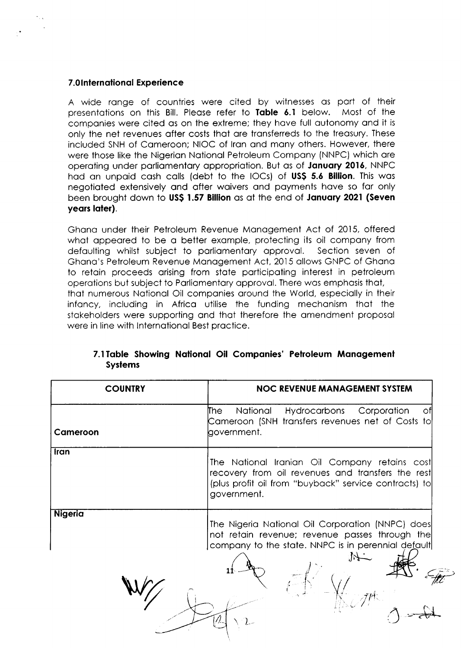## 7.0International Experience

A wide range of countries were cited by witnesses as part of their presentations on this Bill. Please refer to Table 6.1 below. Most of the companies were cited as on the extreme; they have full autonomy and it is only the net revenues after costs that are transferreds to the treasury. These included SNH of Cameroon; NIOC of Iran and many others. However, there were those like the Nigerian National Petroleum Company (NNPC) which are operating under parliamentary appropriation. But as of January 2016, NNPC had an unpaid cash calls (debt to the IOCs) of US\$ 5.6 Billion. This was negotiated extensively and after waivers and payments have so far only been brought down to US\$ 1.57 Billion as at the end of January 2021 (Seven years later).

Ghana under their Petroleum Revenue Management Act of 2015, offered what appeared to be a better example, protecting its oil company from defaulting whilst subject to parliamentary approval. Section seven of Ghana's Petroleum Revenue Management Act, 2015 allows GNPC of Ghana to retain proceeds arising from state participating interest in petroleum operations but subject to Parliamentary approval. There was emphasis that, that numerous National Oil companies around the World, especially in their infancy, including in Africa utilise the funding mechanism that the stakeholders were supporting and that therefore the amendment proposal were in line with International Best practice.

| <b>COUNTRY</b> | <b>NOC REVENUE MANAGEMENT SYSTEM</b>                                                                                                                                       |
|----------------|----------------------------------------------------------------------------------------------------------------------------------------------------------------------------|
| Cameroon       | Hydrocarbons Corporation<br>The I<br>National<br>ΟĦ<br>Cameroon (SNH transfers revenues net of Costs to<br>government.                                                     |
| Iran           | The National Iranian Oil Company retains cost<br>recovery from oil revenues and transfers the rest<br>(plus profit oil from "buyback" service contracts) to<br>government. |
| <b>Nigeria</b> | The Nigeria National Oil Corporation (NNPC) does<br>not retain revenue; revenue passes through the<br>company to the state. NNPC is in perennial default                   |

# 7.1 Table Showing National Oil Companies' Petroleum Management **Systems**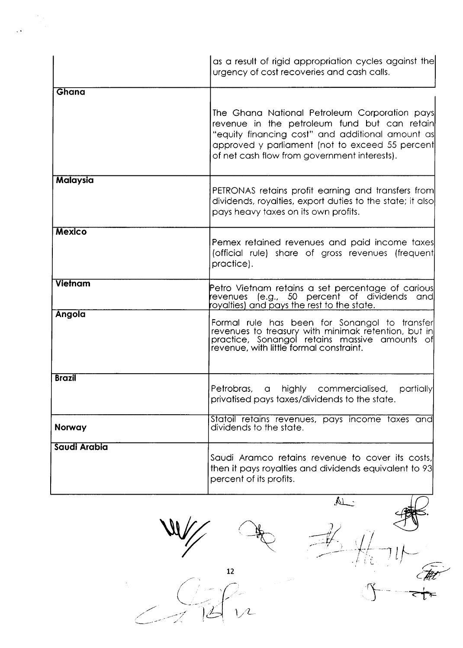|                | as a result of rigid appropriation cycles against the<br>urgency of cost recoveries and cash calls.                                                                                                                                                  |
|----------------|------------------------------------------------------------------------------------------------------------------------------------------------------------------------------------------------------------------------------------------------------|
| Ghana          |                                                                                                                                                                                                                                                      |
|                | The Ghana National Petroleum Corporation pays<br>revenue in the petroleum fund but can retain<br>"equity financing cost" and additional amount as<br>approved y parliament (not to exceed 55 percent<br>of net cash flow from government interests). |
| Malaysia       | PETRONAS retains profit earning and transfers from<br>dividends, royalties, export duties to the state; it also<br>pays heavy taxes on its own profits.                                                                                              |
| <b>Mexico</b>  | Pemex retained revenues and paid income taxes <br>(official rule) share of gross revenues (frequent)<br>practice).                                                                                                                                   |
| <b>Vietnam</b> | Petro Vietnam retains a set percentage of carious<br>evenues (e.g., 50 percent of dividends and<br>oyalties) and pays the rest to the state.                                                                                                         |
| Angola         | Formal rule has been for Sonangol to transfer<br>revenues to treasury with minimak retention, but in<br>practice, Sonangol retains massive amounts of<br>revenue, with little formal constraint.                                                     |
| <b>Brazil</b>  | Petrobras, a highly commercialised,<br>partially<br>privatised pays taxes/dividends to the state.                                                                                                                                                    |
| <b>Norway</b>  | Statoil retains revenues, pays income taxes and<br>dividends to the state.                                                                                                                                                                           |
| Saudi Arabia   | Saudi Aramco retains revenue to cover its costs,<br>then it pays royalties and dividends equivalent to 93<br>percent of its profits.                                                                                                                 |
|                | $\mathbb A$<br>12                                                                                                                                                                                                                                    |
|                |                                                                                                                                                                                                                                                      |

 $\ddot{\phantom{1}}$  .



 $\mathcal{F}$ 

↧┺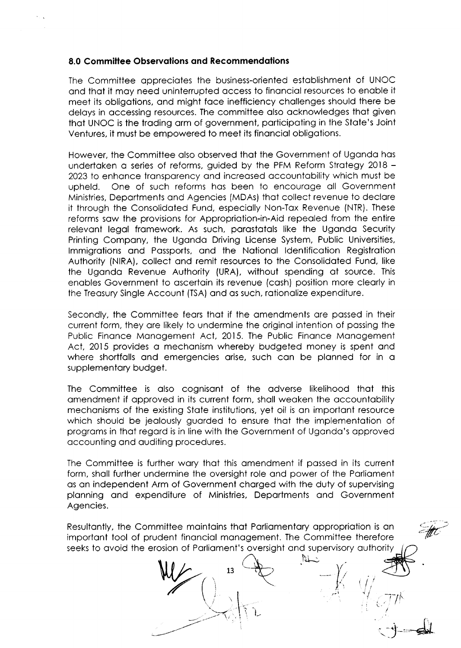#### 8.0 Committee Observations and Recommendations

The Committee oppreciotes the business-oriented estoblishment of UNOC ond thot it moy need uninterrupted occess to finonciol resources to enoble it meet its obligotions, ond might foce inefficiency chollenges should there be deloys in occessing resources. The committee olso ocknowledges thot given thot UNOC is the troding qrm of government, porticipoting in the Stote's Joint Ventures, it must be empowered to meet its finonciol obligotions.

However, the Committee olso observed thot the Government of Ugondo hos undertaken a series of reforms, guided by the PFM Reform Strategy 2018 -2023 to enhance transparency and increased accountability which must be upheld. One of such reforms has been to encourage all Government Ministries, Deportments ond Agencies (MDAs) thot collect revenue to declore it through the Consolidated Fund, especially Non-Tax Revenue (NTR). These reforms saw the provisions for Appropriation-in-Aid repealed from the entire relevant legal framework. As such, parastatals like the Uganda Security Printing Compony, the Ugondo Driving License System, Public Universities, lmmigrotions ond Possports, ond the Notionol ldentificotion Registrotion Authority (NIRA), collect ond remit resources to the Consolidoted Fund, like the Ugondo Revenue Authority (URA), without spending of source. This enobles Government to oscertoin its revenue (cosh) position more cleorly in the Treosury Single Account (TSA) ond os such, rotionolize expenditure.

Secondly, the Committee feors thot if the omendments ore possed in their current form, they ore likely to undermine the originol intention of possing the Public Finance Management Act, 2015. The Public Finance Management Act, 2015 provides a mechanism whereby budgeted money is spent and where shortfalls and emergencies arise, such can be planned for in a supplementary budget.

The Committee is olso cognisont of the odverse likelihood thot this omendment if opproved in its current form, sholl weoken the occountobility mechonisms of the existing Stote institutions, yet oil is on importont resource which should be jealously guarded to ensure that the implementation of progroms in thot regord is in line with the Government of Ugondo's opproved occounting ond ouditing procedures.

The Committee is further wory thot this omendment if possed in its current form, shall further undermine the oversight role and power of the Parliament os qn independent Arm of Government chorged with the duty of supervising plonning ond expenditure of Ministries, Deportments ond Government Agencies.

Resultantly, the Committee maintains that Parliamentary appropriation is an importont tool of prudent finonciol monqgement. The Committee therefore seeks to avoid the erosion of Parliament's oversight and supervisory authority

13

l-.

I

 $\varepsilon_{\text{t}}$ ''

 $+ - 1$ 

 $\cancel{k}$ 

 $M$ 

 $\Lambda=\frac{1}{2}+\frac{1}{2}$